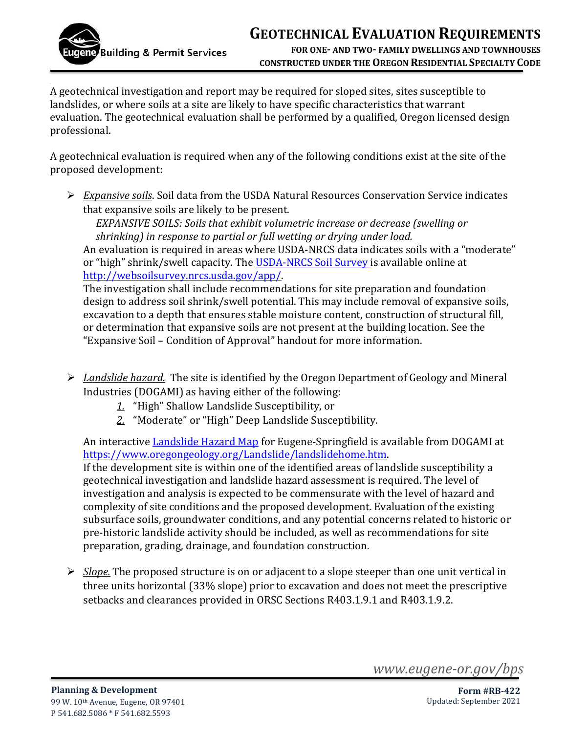

## **GEOTECHNICAL EVALUATION REQUIREMENTS**

**FOR ONE- AND TWO- FAMILY DWELLINGS AND TOWNHOUSES CONSTRUCTED UNDER THE OREGON RESIDENTIAL SPECIALTY CODE**

A geotechnical investigation and report may be required for sloped sites, sites susceptible to landslides, or where soils at a site are likely to have specific characteristics that warrant evaluation. The geotechnical evaluation shall be performed by a qualified, Oregon licensed design professional.

A geotechnical evaluation is required when any of the following conditions exist at the site of the proposed development:

➢ *Expansive soils*. Soil data from the USDA Natural Resources Conservation Service indicates that expansive soils are likely to be present.

*EXPANSIVE SOILS: Soils that exhibit volumetric increase or decrease (swelling or shrinking) in response to partial or full wetting or drying under load.*

An evaluation is required in areas where USDA-NRCS data indicates soils with a "moderate" or "high" shrink/swell capacity. The [USDA-NRCS Soil Survey i](https://websoilsurvey.nrcs.usda.gov/app/)s available online at [http://websoilsurvey.nrcs.usda.gov/app/.](http://websoilsurvey.nrcs.usda.gov/app/)

The investigation shall include recommendations for site preparation and foundation design to address soil shrink/swell potential. This may include removal of expansive soils, excavation to a depth that ensures stable moisture content, construction of structural fill, or determination that expansive soils are not present at the building location. See the "Expansive Soil – Condition of Approval" handout for more information.

- ➢ *Landslide hazard.* The site is identified by the Oregon Department of Geology and Mineral Industries (DOGAMI) as having either of the following:
	- *1.* "High" Shallow Landslide Susceptibility, or
	- *2.* "Moderate" or "High" Deep Landslide Susceptibility.

An interactive [Landslide Hazard Map](https://geo.maps.arcgis.com/apps/MapSeries/index.html?appid=b4ba08b9f27546d192da3a5d2b6f298e) for Eugene-Springfield is available from DOGAMI at [https://www.oregongeology.org/Landslide/landslidehome.htm.](https://www.oregongeology.org/Landslide/landslidehome.htm)

If the development site is within one of the identified areas of landslide susceptibility a geotechnical investigation and landslide hazard assessment is required. The level of investigation and analysis is expected to be commensurate with the level of hazard and complexity of site conditions and the proposed development. Evaluation of the existing subsurface soils, groundwater conditions, and any potential concerns related to historic or pre-historic landslide activity should be included, as well as recommendations for site preparation, grading, drainage, and foundation construction.

➢ *Slope.* The proposed structure is on or adjacent to a slope steeper than one unit vertical in three units horizontal (33% slope) prior to excavation and does not meet the prescriptive setbacks and clearances provided in ORSC Sections R403.1.9.1 and R403.1.9.2.

*www.eugene-or.gov/bps*